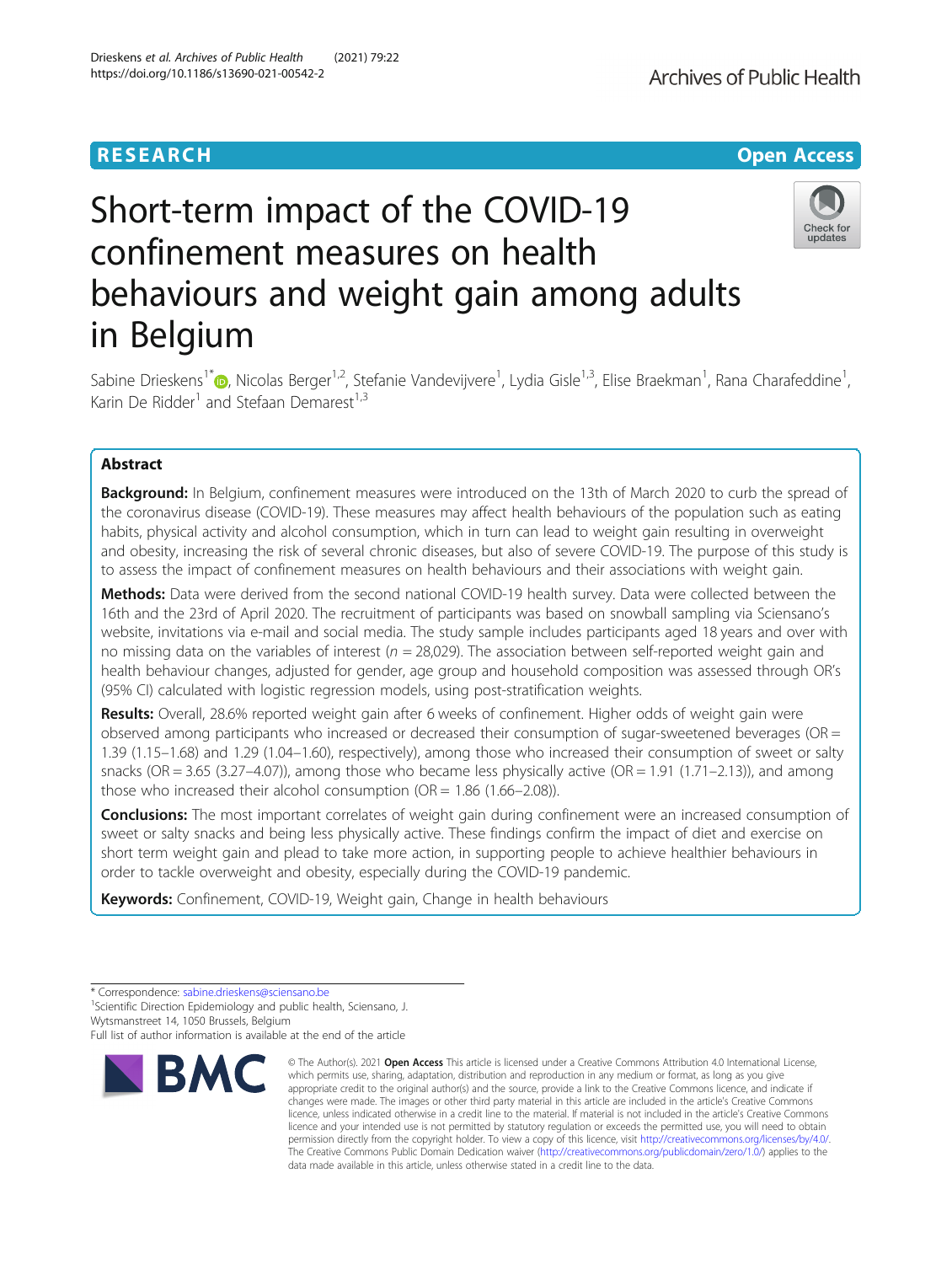# Short-term impact of the COVID-19 confinement measures on health behaviours and weight gain among adults in Belgium

Sabine Drieskens<sup>1\*</sup>®[,](http://orcid.org/0000-0001-9367-3105) Nicolas Berger<sup>1,2</sup>, Stefanie Vandevijvere<sup>1</sup>, Lydia Gisle<sup>1,3</sup>, Elise Braekman<sup>1</sup>, Rana Charafeddine<sup>1</sup> , Karin De Ridder<sup>1</sup> and Stefaan Demarest<sup>1,3</sup>

# Abstract

Background: In Belgium, confinement measures were introduced on the 13th of March 2020 to curb the spread of the coronavirus disease (COVID-19). These measures may affect health behaviours of the population such as eating habits, physical activity and alcohol consumption, which in turn can lead to weight gain resulting in overweight and obesity, increasing the risk of several chronic diseases, but also of severe COVID-19. The purpose of this study is to assess the impact of confinement measures on health behaviours and their associations with weight gain.

Methods: Data were derived from the second national COVID-19 health survey. Data were collected between the 16th and the 23rd of April 2020. The recruitment of participants was based on snowball sampling via Sciensano's website, invitations via e-mail and social media. The study sample includes participants aged 18 years and over with no missing data on the variables of interest ( $n = 28,029$ ). The association between self-reported weight gain and health behaviour changes, adjusted for gender, age group and household composition was assessed through OR's (95% CI) calculated with logistic regression models, using post-stratification weights.

Results: Overall, 28.6% reported weight gain after 6 weeks of confinement. Higher odds of weight gain were observed among participants who increased or decreased their consumption of sugar-sweetened beverages (OR = 1.39 (1.15–1.68) and 1.29 (1.04–1.60), respectively), among those who increased their consumption of sweet or salty snacks (OR =  $3.65$  ( $3.27-4.07$ )), among those who became less physically active (OR =  $1.91$  ( $1.71-2.13$ )), and among those who increased their alcohol consumption ( $OR = 1.86$  (1.66–2.08)).

Conclusions: The most important correlates of weight gain during confinement were an increased consumption of sweet or salty snacks and being less physically active. These findings confirm the impact of diet and exercise on short term weight gain and plead to take more action, in supporting people to achieve healthier behaviours in order to tackle overweight and obesity, especially during the COVID-19 pandemic.

Keywords: Confinement, COVID-19, Weight gain, Change in health behaviours

**BMC** 

<sup>1</sup>Scientific Direction Epidemiology and public health, Sciensano, J. Wytsmanstreet 14, 1050 Brussels, Belgium

Full list of author information is available at the end of the article

© The Author(s), 2021 **Open Access** This article is licensed under a Creative Commons Attribution 4.0 International License, which permits use, sharing, adaptation, distribution and reproduction in any medium or format, as long as you give



# **RESEARCH CHE Open Access**

<sup>\*</sup> Correspondence: [sabine.drieskens@sciensano.be](mailto:sabine.drieskens@sciensano.be) <sup>1</sup>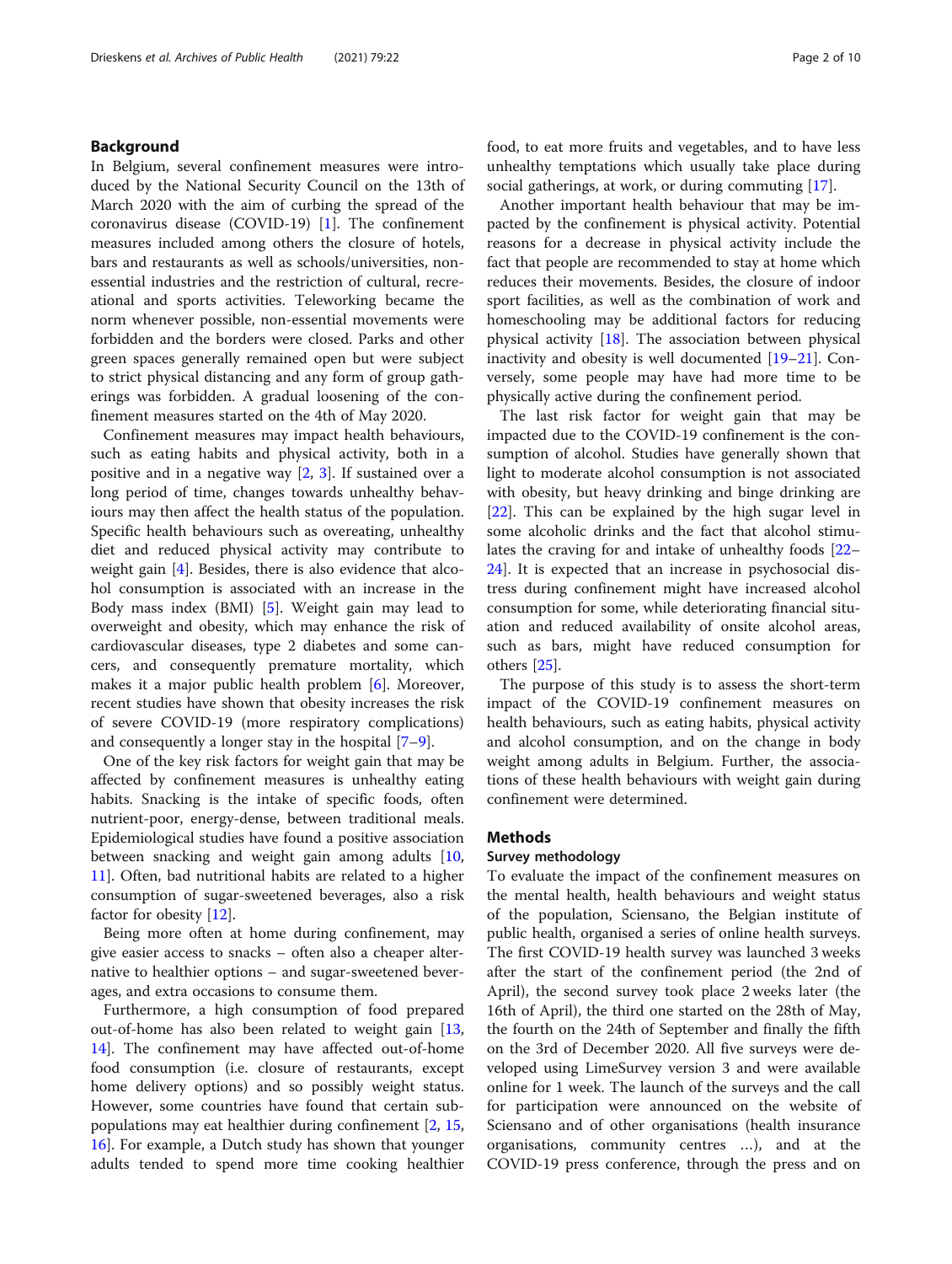# Background

In Belgium, several confinement measures were introduced by the National Security Council on the 13th of March 2020 with the aim of curbing the spread of the coronavirus disease (COVID-19) [[1\]](#page-9-0). The confinement measures included among others the closure of hotels, bars and restaurants as well as schools/universities, nonessential industries and the restriction of cultural, recreational and sports activities. Teleworking became the norm whenever possible, non-essential movements were forbidden and the borders were closed. Parks and other green spaces generally remained open but were subject to strict physical distancing and any form of group gatherings was forbidden. A gradual loosening of the confinement measures started on the 4th of May 2020.

Confinement measures may impact health behaviours, such as eating habits and physical activity, both in a positive and in a negative way [\[2](#page-9-0), [3\]](#page-9-0). If sustained over a long period of time, changes towards unhealthy behaviours may then affect the health status of the population. Specific health behaviours such as overeating, unhealthy diet and reduced physical activity may contribute to weight gain [[4](#page-9-0)]. Besides, there is also evidence that alcohol consumption is associated with an increase in the Body mass index (BMI) [[5\]](#page-9-0). Weight gain may lead to overweight and obesity, which may enhance the risk of cardiovascular diseases, type 2 diabetes and some cancers, and consequently premature mortality, which makes it a major public health problem [[6\]](#page-9-0). Moreover, recent studies have shown that obesity increases the risk of severe COVID-19 (more respiratory complications) and consequently a longer stay in the hospital [[7](#page-9-0)–[9\]](#page-9-0).

One of the key risk factors for weight gain that may be affected by confinement measures is unhealthy eating habits. Snacking is the intake of specific foods, often nutrient-poor, energy-dense, between traditional meals. Epidemiological studies have found a positive association between snacking and weight gain among adults [[10](#page-9-0), [11\]](#page-9-0). Often, bad nutritional habits are related to a higher consumption of sugar-sweetened beverages, also a risk factor for obesity [\[12](#page-9-0)].

Being more often at home during confinement, may give easier access to snacks – often also a cheaper alternative to healthier options – and sugar-sweetened beverages, and extra occasions to consume them.

Furthermore, a high consumption of food prepared out-of-home has also been related to weight gain [[13](#page-9-0), [14\]](#page-9-0). The confinement may have affected out-of-home food consumption (i.e. closure of restaurants, except home delivery options) and so possibly weight status. However, some countries have found that certain subpopulations may eat healthier during confinement [[2](#page-9-0), [15](#page-9-0), [16\]](#page-9-0). For example, a Dutch study has shown that younger adults tended to spend more time cooking healthier food, to eat more fruits and vegetables, and to have less unhealthy temptations which usually take place during social gatherings, at work, or during commuting [[17](#page-9-0)].

Another important health behaviour that may be impacted by the confinement is physical activity. Potential reasons for a decrease in physical activity include the fact that people are recommended to stay at home which reduces their movements. Besides, the closure of indoor sport facilities, as well as the combination of work and homeschooling may be additional factors for reducing physical activity  $[18]$  $[18]$ . The association between physical inactivity and obesity is well documented [\[19](#page-9-0)–[21\]](#page-9-0). Conversely, some people may have had more time to be physically active during the confinement period.

The last risk factor for weight gain that may be impacted due to the COVID-19 confinement is the consumption of alcohol. Studies have generally shown that light to moderate alcohol consumption is not associated with obesity, but heavy drinking and binge drinking are [[22\]](#page-9-0). This can be explained by the high sugar level in some alcoholic drinks and the fact that alcohol stimulates the craving for and intake of unhealthy foods [[22](#page-9-0)– [24\]](#page-9-0). It is expected that an increase in psychosocial distress during confinement might have increased alcohol consumption for some, while deteriorating financial situation and reduced availability of onsite alcohol areas, such as bars, might have reduced consumption for others [\[25](#page-9-0)].

The purpose of this study is to assess the short-term impact of the COVID-19 confinement measures on health behaviours, such as eating habits, physical activity and alcohol consumption, and on the change in body weight among adults in Belgium. Further, the associations of these health behaviours with weight gain during confinement were determined.

# Methods

# Survey methodology

To evaluate the impact of the confinement measures on the mental health, health behaviours and weight status of the population, Sciensano, the Belgian institute of public health, organised a series of online health surveys. The first COVID-19 health survey was launched 3 weeks after the start of the confinement period (the 2nd of April), the second survey took place 2 weeks later (the 16th of April), the third one started on the 28th of May, the fourth on the 24th of September and finally the fifth on the 3rd of December 2020. All five surveys were developed using LimeSurvey version 3 and were available online for 1 week. The launch of the surveys and the call for participation were announced on the website of Sciensano and of other organisations (health insurance organisations, community centres …), and at the COVID-19 press conference, through the press and on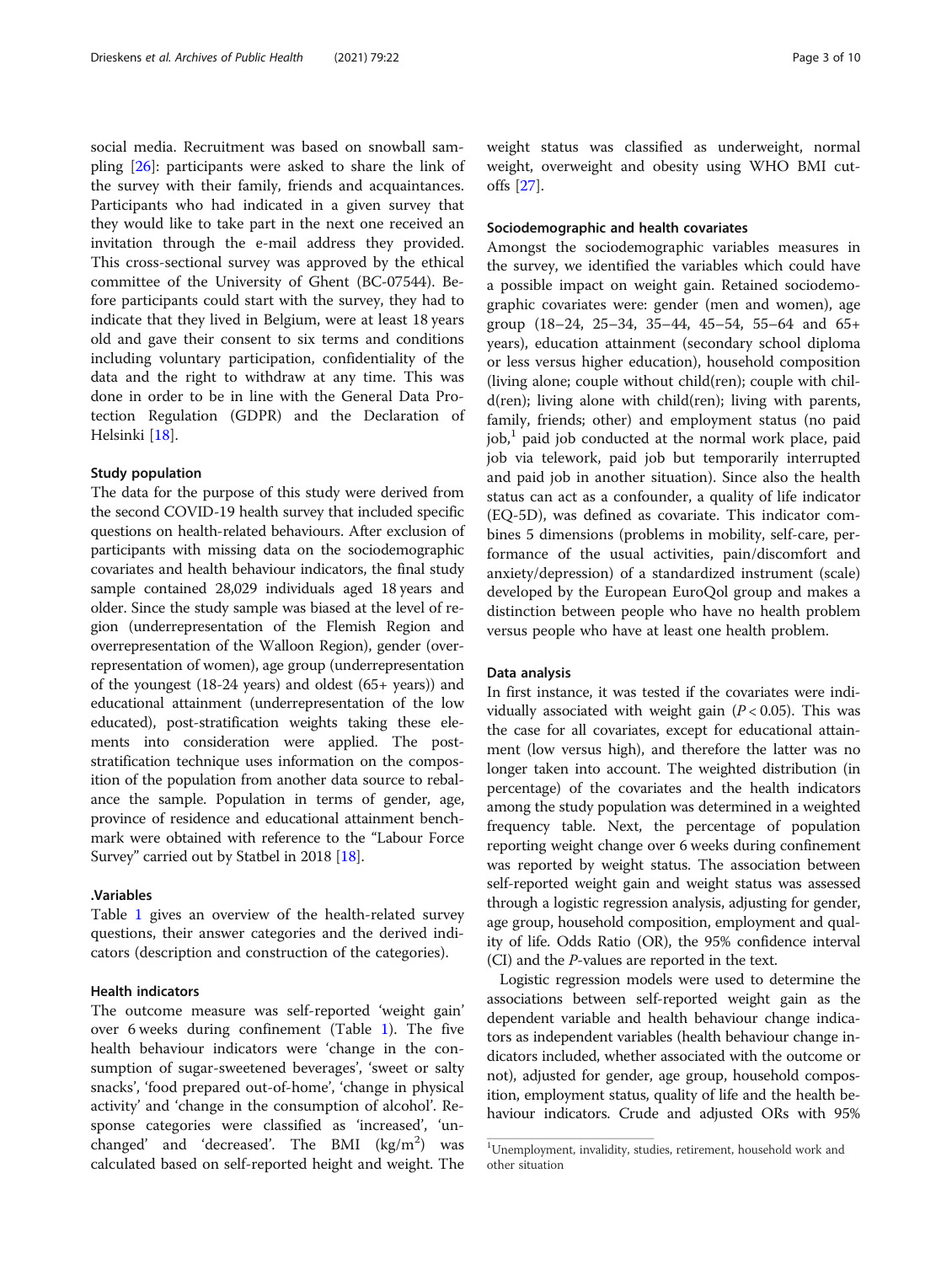social media. Recruitment was based on snowball sampling [[26](#page-9-0)]: participants were asked to share the link of the survey with their family, friends and acquaintances. Participants who had indicated in a given survey that they would like to take part in the next one received an invitation through the e-mail address they provided. This cross-sectional survey was approved by the ethical committee of the University of Ghent (BC-07544). Before participants could start with the survey, they had to indicate that they lived in Belgium, were at least 18 years old and gave their consent to six terms and conditions including voluntary participation, confidentiality of the data and the right to withdraw at any time. This was done in order to be in line with the General Data Protection Regulation (GDPR) and the Declaration of Helsinki [[18](#page-9-0)].

#### Study population

The data for the purpose of this study were derived from the second COVID-19 health survey that included specific questions on health-related behaviours. After exclusion of participants with missing data on the sociodemographic covariates and health behaviour indicators, the final study sample contained 28,029 individuals aged 18 years and older. Since the study sample was biased at the level of region (underrepresentation of the Flemish Region and overrepresentation of the Walloon Region), gender (overrepresentation of women), age group (underrepresentation of the youngest (18-24 years) and oldest (65+ years)) and educational attainment (underrepresentation of the low educated), post-stratification weights taking these elements into consideration were applied. The poststratification technique uses information on the composition of the population from another data source to rebalance the sample. Population in terms of gender, age, province of residence and educational attainment benchmark were obtained with reference to the "Labour Force Survey" carried out by Statbel in 2018 [\[18\]](#page-9-0).

# .Variables

Table [1](#page-3-0) gives an overview of the health-related survey questions, their answer categories and the derived indicators (description and construction of the categories).

# Health indicators

The outcome measure was self-reported 'weight gain' over 6 weeks during confinement (Table [1](#page-3-0)). The five health behaviour indicators were 'change in the consumption of sugar-sweetened beverages', 'sweet or salty snacks', 'food prepared out-of-home', 'change in physical activity' and 'change in the consumption of alcohol'. Response categories were classified as 'increased', 'unchanged' and 'decreased'. The BMI  $(\text{kg/m}^2)$  was calculated based on self-reported height and weight. The weight status was classified as underweight, normal weight, overweight and obesity using WHO BMI cutoffs [\[27](#page-9-0)].

# Sociodemographic and health covariates

Amongst the sociodemographic variables measures in the survey, we identified the variables which could have a possible impact on weight gain. Retained sociodemographic covariates were: gender (men and women), age group (18–24, 25–34, 35–44, 45–54, 55–64 and 65+ years), education attainment (secondary school diploma or less versus higher education), household composition (living alone; couple without child(ren); couple with child(ren); living alone with child(ren); living with parents, family, friends; other) and employment status (no paid  $job<sup>1</sup>$  paid job conducted at the normal work place, paid job via telework, paid job but temporarily interrupted and paid job in another situation). Since also the health status can act as a confounder, a quality of life indicator (EQ-5D), was defined as covariate. This indicator combines 5 dimensions (problems in mobility, self-care, performance of the usual activities, pain/discomfort and anxiety/depression) of a standardized instrument (scale) developed by the European EuroQol group and makes a distinction between people who have no health problem versus people who have at least one health problem.

## Data analysis

In first instance, it was tested if the covariates were individually associated with weight gain  $(P < 0.05)$ . This was the case for all covariates, except for educational attainment (low versus high), and therefore the latter was no longer taken into account. The weighted distribution (in percentage) of the covariates and the health indicators among the study population was determined in a weighted frequency table. Next, the percentage of population reporting weight change over 6 weeks during confinement was reported by weight status. The association between self-reported weight gain and weight status was assessed through a logistic regression analysis, adjusting for gender, age group, household composition, employment and quality of life. Odds Ratio (OR), the 95% confidence interval (CI) and the P-values are reported in the text.

Logistic regression models were used to determine the associations between self-reported weight gain as the dependent variable and health behaviour change indicators as independent variables (health behaviour change indicators included, whether associated with the outcome or not), adjusted for gender, age group, household composition, employment status, quality of life and the health behaviour indicators. Crude and adjusted ORs with 95%

<sup>1</sup> Unemployment, invalidity, studies, retirement, household work and other situation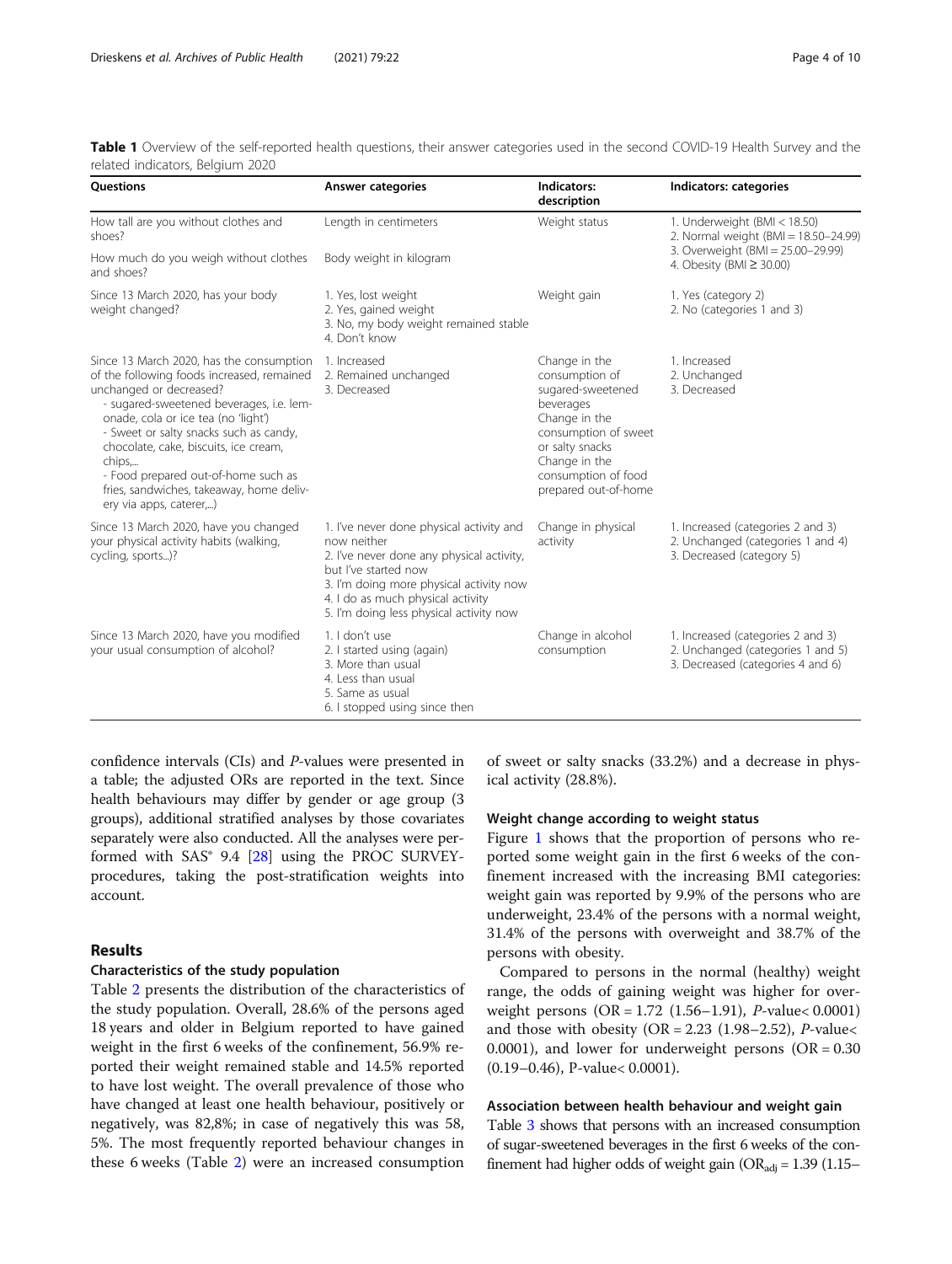<span id="page-3-0"></span>

|  | Table 1 Overview of the self-reported health questions, their answer categories used in the second COVID-19 Health Survey and the |  |  |  |  |  |
|--|-----------------------------------------------------------------------------------------------------------------------------------|--|--|--|--|--|
|  | related indicators, Belgium 2020                                                                                                  |  |  |  |  |  |

| <b>Ouestions</b>                                                                                                                                                                                                                                                                                                                                                                                                | <b>Answer categories</b>                                                                                                                                                                                                                                | Indicators:<br>description                                                                                                                                                                    | Indicators: categories                                                                                      |
|-----------------------------------------------------------------------------------------------------------------------------------------------------------------------------------------------------------------------------------------------------------------------------------------------------------------------------------------------------------------------------------------------------------------|---------------------------------------------------------------------------------------------------------------------------------------------------------------------------------------------------------------------------------------------------------|-----------------------------------------------------------------------------------------------------------------------------------------------------------------------------------------------|-------------------------------------------------------------------------------------------------------------|
| How tall are you without clothes and<br>shoes?                                                                                                                                                                                                                                                                                                                                                                  | Length in centimeters                                                                                                                                                                                                                                   | Weight status                                                                                                                                                                                 | 1. Underweight (BMI < 18.50)<br>2. Normal weight (BMI = 18.50-24.99)                                        |
| How much do you weigh without clothes<br>and shoes?                                                                                                                                                                                                                                                                                                                                                             | Body weight in kilogram                                                                                                                                                                                                                                 |                                                                                                                                                                                               | 3. Overweight (BMI = 25.00-29.99)<br>4. Obesity (BMI ≥ 30.00)                                               |
| Since 13 March 2020, has your body<br>weight changed?                                                                                                                                                                                                                                                                                                                                                           | 1. Yes, lost weight<br>2. Yes, gained weight<br>3. No, my body weight remained stable<br>4. Don't know                                                                                                                                                  | Weight gain                                                                                                                                                                                   | 1. Yes (category 2)<br>2. No (categories 1 and 3)                                                           |
| Since 13 March 2020, has the consumption<br>of the following foods increased, remained<br>unchanged or decreased?<br>- sugared-sweetened beverages, i.e. lem-<br>onade, cola or ice tea (no 'light')<br>- Sweet or salty snacks such as candy,<br>chocolate, cake, biscuits, ice cream,<br>chips,<br>- Food prepared out-of-home such as<br>fries, sandwiches, takeaway, home deliv-<br>ery via apps, caterer,) | 1. Increased<br>2. Remained unchanged<br>3. Decreased                                                                                                                                                                                                   | Change in the<br>consumption of<br>sugared-sweetened<br>beverages<br>Change in the<br>consumption of sweet<br>or salty snacks<br>Change in the<br>consumption of food<br>prepared out-of-home | 1. Increased<br>2. Unchanged<br>3. Decreased                                                                |
| Since 13 March 2020, have you changed<br>your physical activity habits (walking,<br>cycling, sports)?                                                                                                                                                                                                                                                                                                           | 1. I've never done physical activity and<br>now neither<br>2. I've never done any physical activity,<br>but I've started now<br>3. I'm doing more physical activity now<br>4. I do as much physical activity<br>5. I'm doing less physical activity now | Change in physical<br>activity                                                                                                                                                                | 1. Increased (categories 2 and 3)<br>2. Unchanged (categories 1 and 4)<br>3. Decreased (category 5)         |
| Since 13 March 2020, have you modified<br>your usual consumption of alcohol?                                                                                                                                                                                                                                                                                                                                    | 1. I don't use<br>2. I started using (again)<br>3. More than usual<br>4. Less than usual<br>5. Same as usual<br>6. I stopped using since then                                                                                                           | Change in alcohol<br>consumption                                                                                                                                                              | 1. Increased (categories 2 and 3)<br>2. Unchanged (categories 1 and 5)<br>3. Decreased (categories 4 and 6) |

confidence intervals (CIs) and P-values were presented in a table; the adjusted ORs are reported in the text. Since health behaviours may differ by gender or age group (3 groups), additional stratified analyses by those covariates separately were also conducted. All the analyses were performed with  $SAS°$  9.4 [\[28\]](#page-9-0) using the PROC SURVEYprocedures, taking the post-stratification weights into account.

# Results

# Characteristics of the study population

Table [2](#page-4-0) presents the distribution of the characteristics of the study population. Overall, 28.6% of the persons aged 18 years and older in Belgium reported to have gained weight in the first 6 weeks of the confinement, 56.9% reported their weight remained stable and 14.5% reported to have lost weight. The overall prevalence of those who have changed at least one health behaviour, positively or negatively, was 82,8%; in case of negatively this was 58, 5%. The most frequently reported behaviour changes in these 6 weeks (Table [2](#page-4-0)) were an increased consumption

of sweet or salty snacks (33.2%) and a decrease in physical activity (28.8%).

# Weight change according to weight status

Figure [1](#page-5-0) shows that the proportion of persons who reported some weight gain in the first 6 weeks of the confinement increased with the increasing BMI categories: weight gain was reported by 9.9% of the persons who are underweight, 23.4% of the persons with a normal weight, 31.4% of the persons with overweight and 38.7% of the persons with obesity.

Compared to persons in the normal (healthy) weight range, the odds of gaining weight was higher for overweight persons (OR = 1.72 (1.56–1.91), P-value< 0.0001) and those with obesity (OR = 2.23 (1.98-2.52),  $P$ -value< 0.0001), and lower for underweight persons ( $OR = 0.30$ ) (0.19–0.46), P-value< 0.0001).

# Association between health behaviour and weight gain

Table [3](#page-6-0) shows that persons with an increased consumption of sugar-sweetened beverages in the first 6 weeks of the confinement had higher odds of weight gain (OR<sub>adj</sub> = 1.39 (1.15–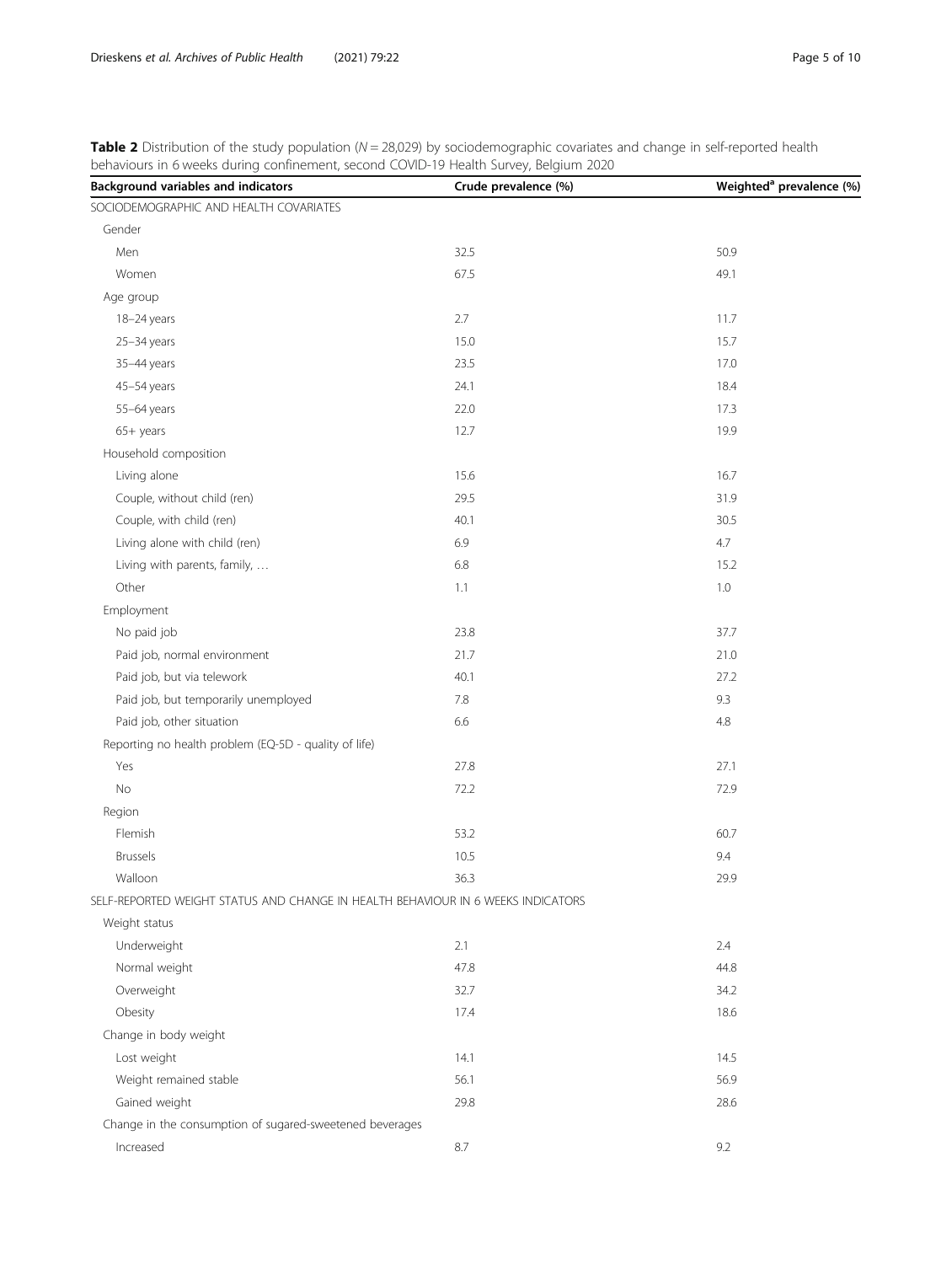<span id="page-4-0"></span>Table 2 Distribution of the study population (N = 28,029) by sociodemographic covariates and change in self-reported health behaviours in 6 weeks during confinement, second COVID-19 Health Survey, Belgium 2020

| ard in a meets aaning commentering second<br>Background variables and indicators | Crude prevalence (%) | Weighted <sup>a</sup> prevalence (%) |
|----------------------------------------------------------------------------------|----------------------|--------------------------------------|
| SOCIODEMOGRAPHIC AND HEALTH COVARIATES                                           |                      |                                      |
| Gender                                                                           |                      |                                      |
| Men                                                                              | 32.5                 | 50.9                                 |
| Women                                                                            | 67.5                 | 49.1                                 |
| Age group                                                                        |                      |                                      |
| 18-24 years                                                                      | 2.7                  | 11.7                                 |
| 25-34 years                                                                      | 15.0                 | 15.7                                 |
| 35-44 years                                                                      | 23.5                 | 17.0                                 |
| 45-54 years                                                                      | 24.1                 | 18.4                                 |
| 55-64 years                                                                      | 22.0                 | 17.3                                 |
| $65+$ years                                                                      | 12.7                 | 19.9                                 |
| Household composition                                                            |                      |                                      |
| Living alone                                                                     | 15.6                 | 16.7                                 |
| Couple, without child (ren)                                                      | 29.5                 | 31.9                                 |
| Couple, with child (ren)                                                         | 40.1                 | 30.5                                 |
| Living alone with child (ren)                                                    | 6.9                  | 4.7                                  |
| Living with parents, family,                                                     | 6.8                  | 15.2                                 |
| Other                                                                            | 1.1                  | 1.0                                  |
| Employment                                                                       |                      |                                      |
| No paid job                                                                      | 23.8                 | 37.7                                 |
| Paid job, normal environment                                                     | 21.7                 | 21.0                                 |
| Paid job, but via telework                                                       | 40.1                 | 27.2                                 |
| Paid job, but temporarily unemployed                                             | 7.8                  | 9.3                                  |
| Paid job, other situation                                                        | 6.6                  | 4.8                                  |
| Reporting no health problem (EQ-5D - quality of life)                            |                      |                                      |
| Yes                                                                              | 27.8                 | 27.1                                 |
| No                                                                               | 72.2                 | 72.9                                 |
| Region                                                                           |                      |                                      |
| Flemish                                                                          | 53.2                 | 60.7                                 |
| <b>Brussels</b>                                                                  | 10.5                 | 9.4                                  |
| Walloon                                                                          | 36.3                 | 29.9                                 |
| SELF-REPORTED WEIGHT STATUS AND CHANGE IN HEALTH BEHAVIOUR IN 6 WEEKS INDICATORS |                      |                                      |
| Weight status                                                                    |                      |                                      |
| Underweight                                                                      | 2.1                  | 2.4                                  |
| Normal weight                                                                    | 47.8                 | 44.8                                 |
| Overweight                                                                       | 32.7                 | 34.2                                 |
| Obesity                                                                          | 17.4                 | 18.6                                 |
| Change in body weight                                                            |                      |                                      |
| Lost weight                                                                      | 14.1                 | 14.5                                 |
| Weight remained stable                                                           | 56.1                 | 56.9                                 |
| Gained weight                                                                    | 29.8                 | 28.6                                 |
| Change in the consumption of sugared-sweetened beverages                         |                      |                                      |
| Increased                                                                        | $8.7\,$              | 9.2                                  |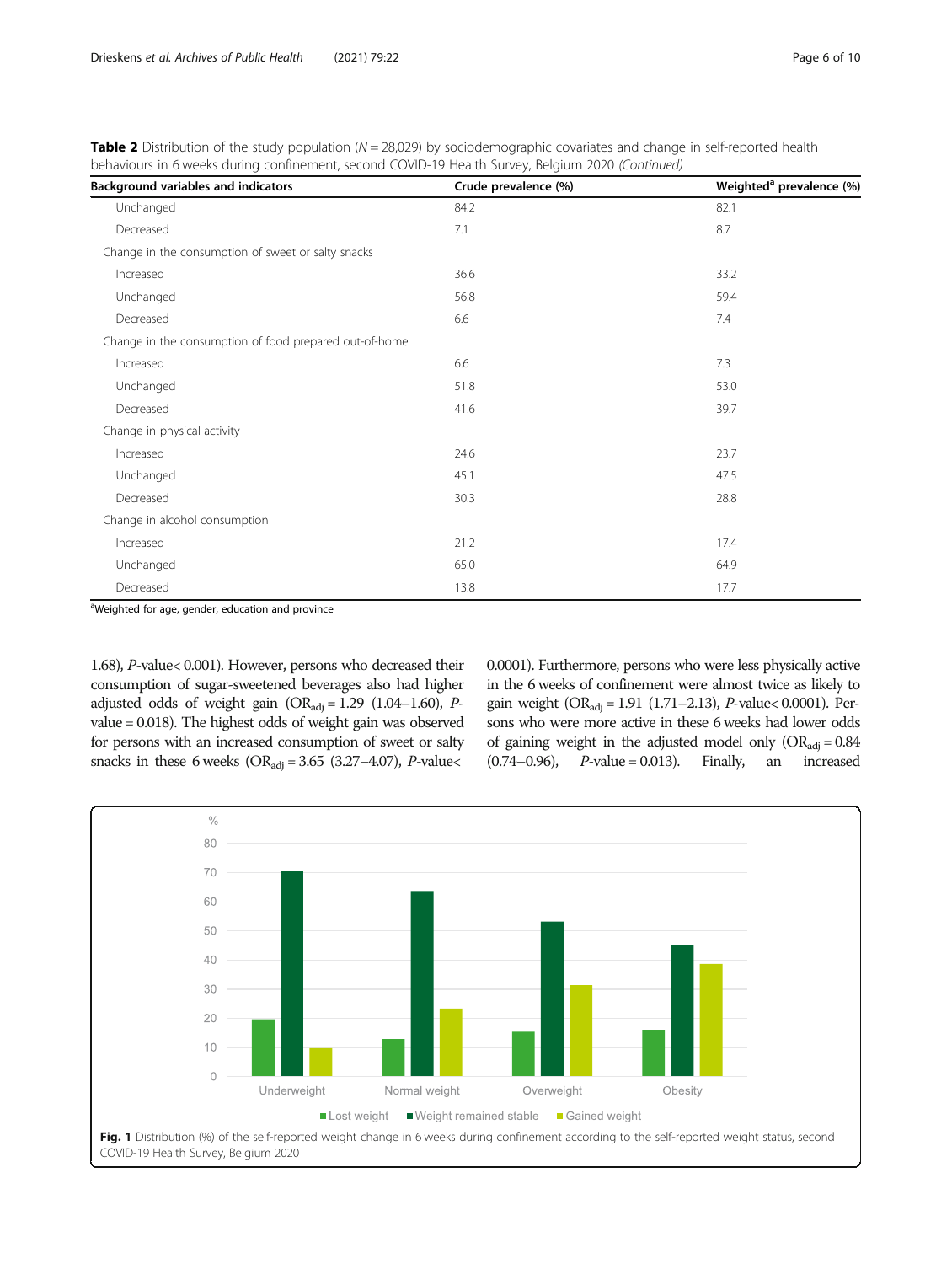<span id="page-5-0"></span>**Table 2** Distribution of the study population  $(N = 28,029)$  by sociodemographic covariates and change in self-reported health behaviours in 6 weeks during confinement, second COVID-19 Health Survey, Belgium 2020 (Continued)

| Background variables and indicators                    | Crude prevalence (%) | Weighted <sup>a</sup> prevalence (%) |
|--------------------------------------------------------|----------------------|--------------------------------------|
| Unchanged                                              | 84.2                 | 82.1                                 |
| Decreased                                              | 7.1                  | 8.7                                  |
| Change in the consumption of sweet or salty snacks     |                      |                                      |
| Increased                                              | 36.6                 | 33.2                                 |
| Unchanged                                              | 56.8                 | 59.4                                 |
| Decreased                                              | 6.6                  | 7.4                                  |
| Change in the consumption of food prepared out-of-home |                      |                                      |
| Increased                                              | 6.6                  | 7.3                                  |
| Unchanged                                              | 51.8                 | 53.0                                 |
| Decreased                                              | 41.6                 | 39.7                                 |
| Change in physical activity                            |                      |                                      |
| Increased                                              | 24.6                 | 23.7                                 |
| Unchanged                                              | 45.1                 | 47.5                                 |
| Decreased                                              | 30.3                 | 28.8                                 |
| Change in alcohol consumption                          |                      |                                      |
| Increased                                              | 21.2                 | 17.4                                 |
| Unchanged                                              | 65.0                 | 64.9                                 |
| Decreased                                              | 13.8                 | 17.7                                 |

<sup>a</sup>Weighted for age, gender, education and province

1.68), P-value< 0.001). However, persons who decreased their consumption of sugar-sweetened beverages also had higher adjusted odds of weight gain  $(OR_{\text{adj}} = 1.29 (1.04-1.60), P$ value = 0.018). The highest odds of weight gain was observed for persons with an increased consumption of sweet or salty snacks in these 6 weeks ( $OR_{\text{adj}} = 3.65$  (3.27–4.07), *P*-value<

0.0001). Furthermore, persons who were less physically active in the 6 weeks of confinement were almost twice as likely to gain weight ( $OR_{\text{adj}} = 1.91$  (1.71–2.13), *P*-value< 0.0001). Persons who were more active in these 6 weeks had lower odds of gaining weight in the adjusted model only  $(OR_{\text{adj}} = 0.84$ <br>(0.74–0.96), *P*-value = 0.013). Finally, an increased  $P$ -value = 0.013). Finally, an increased

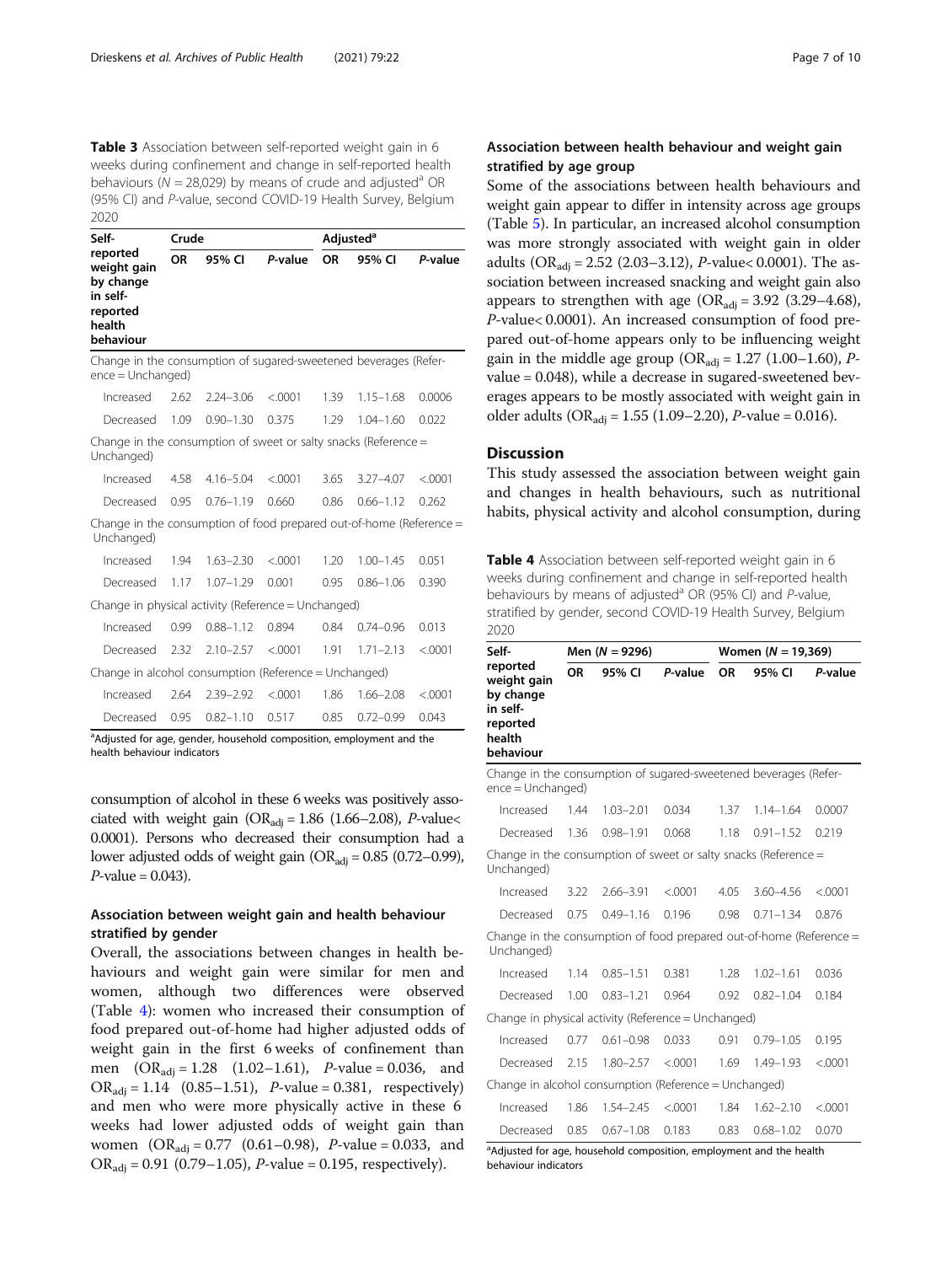<span id="page-6-0"></span>Table 3 Association between self-reported weight gain in 6 weeks during confinement and change in self-reported health behaviours ( $N = 28,029$ ) by means of crude and adjusted<sup>a</sup> OR (95% CI) and P-value, second COVID-19 Health Survey, Belgium 2020

| Self-                                                                                   | Crude |               |         | Adjusted <sup>a</sup> |               |         |
|-----------------------------------------------------------------------------------------|-------|---------------|---------|-----------------------|---------------|---------|
| reported<br>weight gain<br>by change<br>in self-<br>reported<br>health<br>behaviour     | OR    | 95% CI        | P-value | <b>OR</b>             | 95% CI        | P-value |
| Change in the consumption of sugared-sweetened beverages (Refer-<br>$ence = Unchanged)$ |       |               |         |                       |               |         |
| Increased                                                                               | 2.62  | $2.24 - 3.06$ | < 0.001 | 1.39                  | $1.15 - 1.68$ | 0.0006  |
| Decreased                                                                               | 1.09  | $0.90 - 1.30$ | 0.375   | 1.29                  | $1.04 - 1.60$ | 0.022   |
| Change in the consumption of sweet or salty snacks (Reference $=$<br>Unchanged)         |       |               |         |                       |               |         |
| Increased                                                                               | 4.58  | $4.16 - 5.04$ | < 0.001 | 3.65                  | $3.27 - 4.07$ | < 0.001 |
| Decreased                                                                               | 0.95  | $0.76 - 1.19$ | 0.660   | 0.86                  | $0.66 - 1.12$ | 0.262   |
| Change in the consumption of food prepared out-of-home (Reference =<br>Unchanged)       |       |               |         |                       |               |         |
| Increased                                                                               | 1.94  | $1.63 - 2.30$ | < .0001 | 1.20                  | $1.00 - 1.45$ | 0.051   |
| Decreased                                                                               | 1.17  | $1.07 - 1.29$ | 0.001   | 0.95                  | $0.86 - 1.06$ | 0.390   |
| Change in physical activity (Reference = Unchanged)                                     |       |               |         |                       |               |         |
| Increased                                                                               | 0.99  | $0.88 - 1.12$ | 0.894   | 0.84                  | $0.74 - 0.96$ | 0.013   |
| Decreased                                                                               | 2.32  | $2.10 - 2.57$ | < 0.001 | 1.91                  | $1.71 - 2.13$ | < 0.001 |
| Change in alcohol consumption (Reference = Unchanged)                                   |       |               |         |                       |               |         |
| Increased                                                                               | 2.64  | $2.39 - 2.92$ | < .0001 | 1.86                  | $1.66 - 2.08$ | < .0001 |
| Decreased                                                                               | 0.95  | $0.82 - 1.10$ | 0.517   | 0.85                  | $0.72 - 0.99$ | 0.043   |

<sup>a</sup>Adjusted for age, gender, household composition, employment and the health behaviour indicators

consumption of alcohol in these 6 weeks was positively associated with weight gain (OR<sub>adj</sub> = 1.86 (1.66–2.08), *P*-value< 0.0001). Persons who decreased their consumption had a lower adjusted odds of weight gain ( $OR_{\text{adj}} = 0.85$  (0.72–0.99),  $P$ -value = 0.043).

# Association between weight gain and health behaviour stratified by gender

Overall, the associations between changes in health behaviours and weight gain were similar for men and women, although two differences were observed (Table 4): women who increased their consumption of food prepared out-of-home had higher adjusted odds of weight gain in the first 6 weeks of confinement than men  $(OR_{\text{adj}} = 1.28 \quad (1.02-1.61)$ , *P*-value = 0.036, and  $OR_{\text{adj}} = 1.14$   $(0.85-1.51)$ , *P*-value = 0.381, respectively) and men who were more physically active in these 6 weeks had lower adjusted odds of weight gain than women  $(OR_{\text{adj}} = 0.77 \ (0.61 - 0.98)$ , *P*-value = 0.033, and  $OR_{\text{adj}} = 0.91 (0.79 - 1.05)$ , *P*-value = 0.195, respectively).

# Association between health behaviour and weight gain stratified by age group

Some of the associations between health behaviours and weight gain appear to differ in intensity across age groups (Table [5](#page-7-0)). In particular, an increased alcohol consumption was more strongly associated with weight gain in older adults ( $OR_{\text{adi}} = 2.52$  (2.03–3.12), *P*-value < 0.0001). The association between increased snacking and weight gain also appears to strengthen with age  $(OR_{\text{adi}} = 3.92 \ (3.29-4.68))$ , P-value< 0.0001). An increased consumption of food prepared out-of-home appears only to be influencing weight gain in the middle age group ( $OR_{\text{adi}} = 1.27$  (1.00–1.60), Pvalue = 0.048), while a decrease in sugared-sweetened beverages appears to be mostly associated with weight gain in older adults (OR<sub>adj</sub> = 1.55 (1.09–2.20), *P*-value = 0.016).

# **Discussion**

This study assessed the association between weight gain and changes in health behaviours, such as nutritional habits, physical activity and alcohol consumption, during

Table 4 Association between self-reported weight gain in 6 weeks during confinement and change in self-reported health behaviours by means of adjusted<sup>a</sup> OR (95% CI) and  $P$ -value, stratified by gender, second COVID-19 Health Survey, Belgium 2020

| Self-                                                                                   |                                                                 | Men $(N = 9296)$ |         |           | Women $(N = 19,369)$ |         |  |  |
|-----------------------------------------------------------------------------------------|-----------------------------------------------------------------|------------------|---------|-----------|----------------------|---------|--|--|
| reported<br>weight gain<br>by change<br>in self-<br>reported<br>health<br>behaviour     | <b>OR</b>                                                       | 95% CI           | P-value | <b>OR</b> | 95% CI               | P-value |  |  |
| Change in the consumption of sugared-sweetened beverages (Refer-<br>$ence = Unchanged)$ |                                                                 |                  |         |           |                      |         |  |  |
| Increased                                                                               | 1.44                                                            | $1.03 - 2.01$    | 0.034   | 1.37      | $1.14 - 1.64$        | 0.0007  |  |  |
| Decreased                                                                               | 1.36                                                            | $0.98 - 1.91$    | 0.068   | 1.18      | $0.91 - 1.52$        | 0.219   |  |  |
| Unchanged)                                                                              | Change in the consumption of sweet or salty snacks (Reference = |                  |         |           |                      |         |  |  |
| Increased                                                                               | 3.22                                                            | $2.66 - 3.91$    | < .0001 | 4.05      | $3.60 - 4.56$        | < .0001 |  |  |
| Decreased                                                                               | 0.75                                                            | $0.49 - 1.16$    | 0.196   | 0.98      | $0.71 - 1.34$        | 0.876   |  |  |
| Change in the consumption of food prepared out-of-home (Reference $=$<br>Unchanged)     |                                                                 |                  |         |           |                      |         |  |  |
| Increased                                                                               | 1.14                                                            | $0.85 - 1.51$    | 0.381   | 1.28      | $1.02 - 1.61$        | 0.036   |  |  |
| Decreased                                                                               | 1.00                                                            | $0.83 - 1.21$    | 0.964   | 0.92      | $0.82 - 1.04$        | 0.184   |  |  |
| Change in physical activity (Reference = Unchanged)                                     |                                                                 |                  |         |           |                      |         |  |  |
| Increased                                                                               | 0.77                                                            | $0.61 - 0.98$    | 0.033   | 0.91      | $0.79 - 1.05$        | 0.195   |  |  |
| Decreased                                                                               | 2.15                                                            | $1.80 - 2.57$    | < .0001 | 1.69      | 1.49-1.93            | < .0001 |  |  |
| Change in alcohol consumption (Reference = Unchanged)                                   |                                                                 |                  |         |           |                      |         |  |  |
| Increased                                                                               | 1.86                                                            | $1.54 - 2.45$    | < .0001 | 1.84      | $1.62 - 2.10$        | < .0001 |  |  |
| Decreased                                                                               | 0.85                                                            | $0.67 - 1.08$    | 0.183   | 0.83      | $0.68 - 1.02$        | 0.070   |  |  |
| abustad for ane household composition employment and the health                         |                                                                 |                  |         |           |                      |         |  |  |

Composition, composition, composition, employees behaviour indicators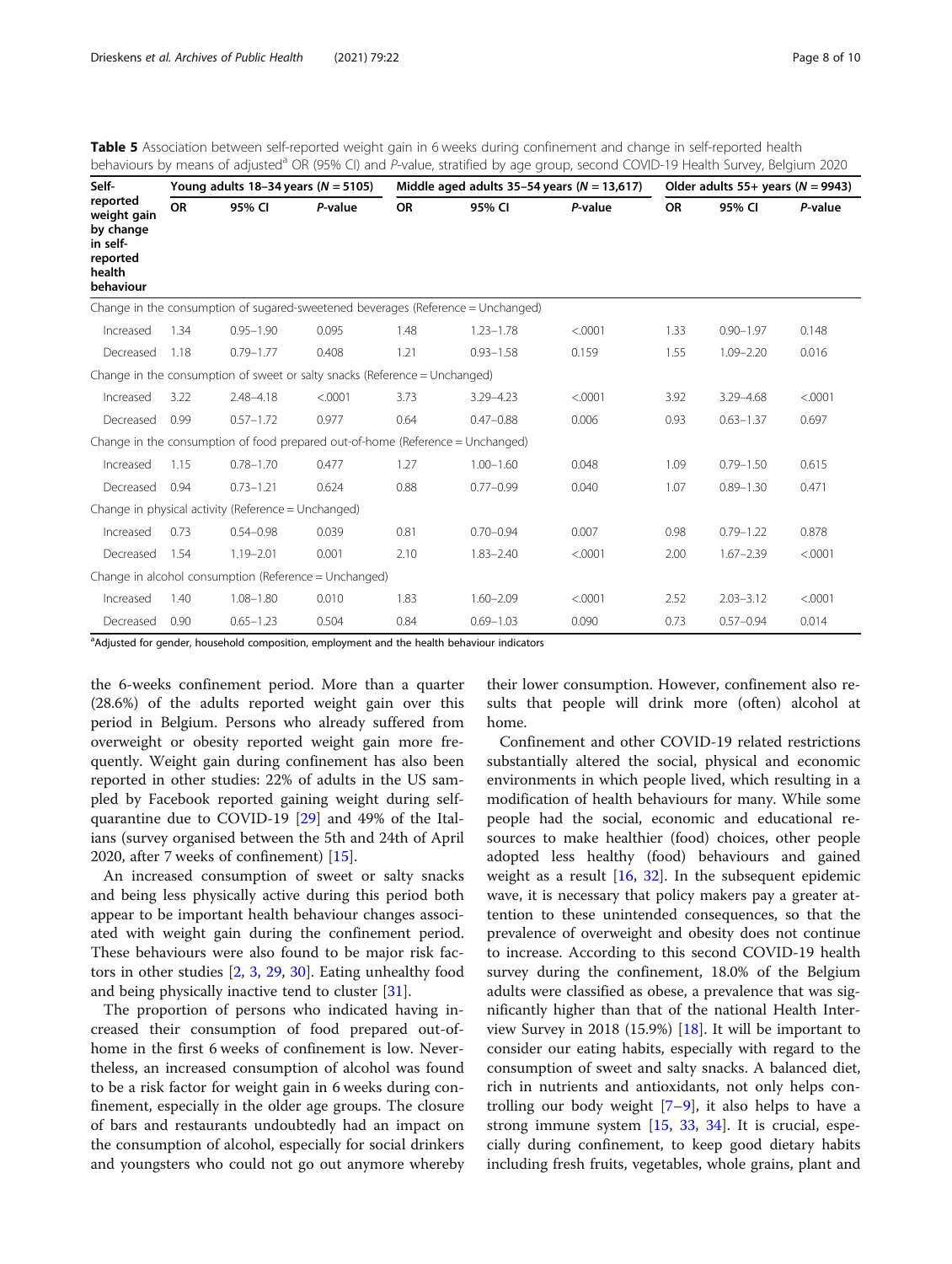<span id="page-7-0"></span>

| Table 5 Association between self-reported weight gain in 6 weeks during confinement and change in self-reported health                     |  |  |
|--------------------------------------------------------------------------------------------------------------------------------------------|--|--|
| behaviours by means of adjusted <sup>a</sup> OR (95% CI) and P-value, stratified by age group, second COVID-19 Health Survey, Belgium 2020 |  |  |

| Self-                                                                               |           | Young adults $18-34$ years ( $N = 5105$ )           |                                                                                |           |                                                                                  | Middle aged adults 35-54 years $(N = 13,617)$ | Older adults $55+$ years ( $N = 9943$ ) |               |         |
|-------------------------------------------------------------------------------------|-----------|-----------------------------------------------------|--------------------------------------------------------------------------------|-----------|----------------------------------------------------------------------------------|-----------------------------------------------|-----------------------------------------|---------------|---------|
| reported<br>weight gain<br>by change<br>in self-<br>reported<br>health<br>behaviour | <b>OR</b> | 95% CI                                              | P-value                                                                        | <b>OR</b> | 95% CI                                                                           | P-value                                       | <b>OR</b>                               | 95% CI        | P-value |
|                                                                                     |           |                                                     |                                                                                |           | Change in the consumption of sugared-sweetened beverages (Reference = Unchanged) |                                               |                                         |               |         |
| Increased                                                                           | 1.34      | $0.95 - 1.90$                                       | 0.095                                                                          | 1.48      | $1.23 - 1.78$                                                                    | < .0001                                       | 1.33                                    | $0.90 - 1.97$ | 0.148   |
| Decreased                                                                           | 1.18      | $0.79 - 1.77$                                       | 0.408                                                                          | 1.21      | $0.93 - 1.58$                                                                    | 0.159                                         | 1.55                                    | $1.09 - 2.20$ | 0.016   |
|                                                                                     |           |                                                     | Change in the consumption of sweet or salty snacks (Reference = Unchanged)     |           |                                                                                  |                                               |                                         |               |         |
| Increased                                                                           | 3.22      | $2.48 - 4.18$                                       | < .0001                                                                        | 3.73      | $3.29 - 4.23$                                                                    | < .0001                                       | 3.92                                    | $3.29 - 4.68$ | < .0001 |
| Decreased                                                                           | 0.99      | $0.57 - 1.72$                                       | 0.977                                                                          | 0.64      | $0.47 - 0.88$                                                                    | 0.006                                         | 0.93                                    | $0.63 - 1.37$ | 0.697   |
|                                                                                     |           |                                                     | Change in the consumption of food prepared out-of-home (Reference = Unchanged) |           |                                                                                  |                                               |                                         |               |         |
| Increased                                                                           | 1.15      | $0.78 - 1.70$                                       | 0.477                                                                          | 1.27      | $1.00 - 1.60$                                                                    | 0.048                                         | 1.09                                    | $0.79 - 1.50$ | 0.615   |
| Decreased                                                                           | 0.94      | $0.73 - 1.21$                                       | 0.624                                                                          | 0.88      | $0.77 - 0.99$                                                                    | 0.040                                         | 1.07                                    | $0.89 - 1.30$ | 0.471   |
|                                                                                     |           | Change in physical activity (Reference = Unchanged) |                                                                                |           |                                                                                  |                                               |                                         |               |         |
| Increased                                                                           | 0.73      | $0.54 - 0.98$                                       | 0.039                                                                          | 0.81      | $0.70 - 0.94$                                                                    | 0.007                                         | 0.98                                    | $0.79 - 1.22$ | 0.878   |
| Decreased                                                                           | 1.54      | $1.19 - 2.01$                                       | 0.001                                                                          | 2.10      | $1.83 - 2.40$                                                                    | < .0001                                       | 2.00                                    | $1.67 - 2.39$ | < .0001 |
|                                                                                     |           |                                                     | Change in alcohol consumption (Reference = Unchanged)                          |           |                                                                                  |                                               |                                         |               |         |
| Increased                                                                           | 1.40      | $1.08 - 1.80$                                       | 0.010                                                                          | 1.83      | $1.60 - 2.09$                                                                    | < .0001                                       | 2.52                                    | $2.03 - 3.12$ | < .0001 |
| Decreased                                                                           | 0.90      | $0.65 - 1.23$                                       | 0.504                                                                          | 0.84      | $0.69 - 1.03$                                                                    | 0.090                                         | 0.73                                    | $0.57 - 0.94$ | 0.014   |

<sup>a</sup>Adjusted for gender, household composition, employment and the health behaviour indicators

the 6-weeks confinement period. More than a quarter (28.6%) of the adults reported weight gain over this period in Belgium. Persons who already suffered from overweight or obesity reported weight gain more frequently. Weight gain during confinement has also been reported in other studies: 22% of adults in the US sampled by Facebook reported gaining weight during selfquarantine due to COVID-19 [[29\]](#page-9-0) and 49% of the Italians (survey organised between the 5th and 24th of April 2020, after 7 weeks of confinement) [[15](#page-9-0)].

An increased consumption of sweet or salty snacks and being less physically active during this period both appear to be important health behaviour changes associated with weight gain during the confinement period. These behaviours were also found to be major risk factors in other studies [\[2,](#page-9-0) [3](#page-9-0), [29](#page-9-0), [30](#page-9-0)]. Eating unhealthy food and being physically inactive tend to cluster [\[31](#page-9-0)].

The proportion of persons who indicated having increased their consumption of food prepared out-ofhome in the first 6 weeks of confinement is low. Nevertheless, an increased consumption of alcohol was found to be a risk factor for weight gain in 6 weeks during confinement, especially in the older age groups. The closure of bars and restaurants undoubtedly had an impact on the consumption of alcohol, especially for social drinkers and youngsters who could not go out anymore whereby

their lower consumption. However, confinement also results that people will drink more (often) alcohol at home.

Confinement and other COVID-19 related restrictions substantially altered the social, physical and economic environments in which people lived, which resulting in a modification of health behaviours for many. While some people had the social, economic and educational resources to make healthier (food) choices, other people adopted less healthy (food) behaviours and gained weight as a result  $[16, 32]$  $[16, 32]$  $[16, 32]$  $[16, 32]$ . In the subsequent epidemic wave, it is necessary that policy makers pay a greater attention to these unintended consequences, so that the prevalence of overweight and obesity does not continue to increase. According to this second COVID-19 health survey during the confinement, 18.0% of the Belgium adults were classified as obese, a prevalence that was significantly higher than that of the national Health Interview Survey in 2018 (15.9%) [\[18](#page-9-0)]. It will be important to consider our eating habits, especially with regard to the consumption of sweet and salty snacks. A balanced diet, rich in nutrients and antioxidants, not only helps controlling our body weight  $[7-9]$  $[7-9]$  $[7-9]$  $[7-9]$  $[7-9]$ , it also helps to have a strong immune system [[15,](#page-9-0) [33](#page-9-0), [34\]](#page-9-0). It is crucial, especially during confinement, to keep good dietary habits including fresh fruits, vegetables, whole grains, plant and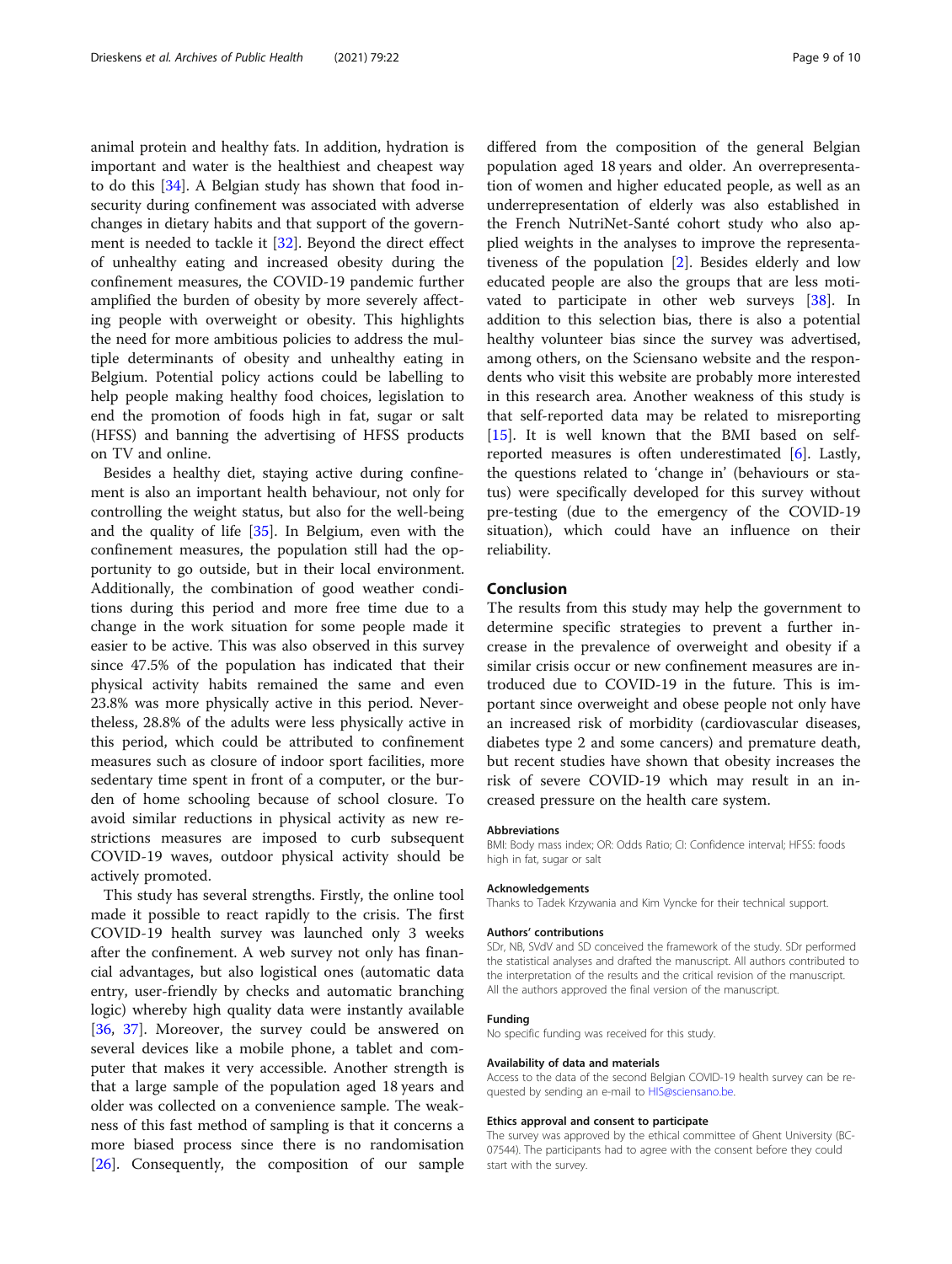animal protein and healthy fats. In addition, hydration is important and water is the healthiest and cheapest way to do this [[34](#page-9-0)]. A Belgian study has shown that food insecurity during confinement was associated with adverse changes in dietary habits and that support of the government is needed to tackle it [[32\]](#page-9-0). Beyond the direct effect of unhealthy eating and increased obesity during the confinement measures, the COVID-19 pandemic further amplified the burden of obesity by more severely affecting people with overweight or obesity. This highlights the need for more ambitious policies to address the multiple determinants of obesity and unhealthy eating in Belgium. Potential policy actions could be labelling to help people making healthy food choices, legislation to end the promotion of foods high in fat, sugar or salt (HFSS) and banning the advertising of HFSS products on TV and online.

Besides a healthy diet, staying active during confinement is also an important health behaviour, not only for controlling the weight status, but also for the well-being and the quality of life [[35](#page-9-0)]. In Belgium, even with the confinement measures, the population still had the opportunity to go outside, but in their local environment. Additionally, the combination of good weather conditions during this period and more free time due to a change in the work situation for some people made it easier to be active. This was also observed in this survey since 47.5% of the population has indicated that their physical activity habits remained the same and even 23.8% was more physically active in this period. Nevertheless, 28.8% of the adults were less physically active in this period, which could be attributed to confinement measures such as closure of indoor sport facilities, more sedentary time spent in front of a computer, or the burden of home schooling because of school closure. To avoid similar reductions in physical activity as new restrictions measures are imposed to curb subsequent COVID-19 waves, outdoor physical activity should be actively promoted.

This study has several strengths. Firstly, the online tool made it possible to react rapidly to the crisis. The first COVID-19 health survey was launched only 3 weeks after the confinement. A web survey not only has financial advantages, but also logistical ones (automatic data entry, user-friendly by checks and automatic branching logic) whereby high quality data were instantly available [[36,](#page-9-0) [37\]](#page-9-0). Moreover, the survey could be answered on several devices like a mobile phone, a tablet and computer that makes it very accessible. Another strength is that a large sample of the population aged 18 years and older was collected on a convenience sample. The weakness of this fast method of sampling is that it concerns a more biased process since there is no randomisation [[26\]](#page-9-0). Consequently, the composition of our sample

differed from the composition of the general Belgian population aged 18 years and older. An overrepresentation of women and higher educated people, as well as an underrepresentation of elderly was also established in the French NutriNet-Santé cohort study who also applied weights in the analyses to improve the representativeness of the population [\[2](#page-9-0)]. Besides elderly and low educated people are also the groups that are less motivated to participate in other web surveys [[38](#page-9-0)]. In addition to this selection bias, there is also a potential healthy volunteer bias since the survey was advertised, among others, on the Sciensano website and the respondents who visit this website are probably more interested in this research area. Another weakness of this study is that self-reported data may be related to misreporting [[15\]](#page-9-0). It is well known that the BMI based on selfreported measures is often underestimated [\[6](#page-9-0)]. Lastly, the questions related to 'change in' (behaviours or status) were specifically developed for this survey without pre-testing (due to the emergency of the COVID-19 situation), which could have an influence on their reliability.

# Conclusion

The results from this study may help the government to determine specific strategies to prevent a further increase in the prevalence of overweight and obesity if a similar crisis occur or new confinement measures are introduced due to COVID-19 in the future. This is important since overweight and obese people not only have an increased risk of morbidity (cardiovascular diseases, diabetes type 2 and some cancers) and premature death, but recent studies have shown that obesity increases the risk of severe COVID-19 which may result in an increased pressure on the health care system.

#### Abbreviations

BMI: Body mass index; OR: Odds Ratio; CI: Confidence interval; HFSS: foods high in fat, sugar or salt

#### Acknowledgements

Thanks to Tadek Krzywania and Kim Vyncke for their technical support.

#### Authors' contributions

SDr, NB, SVdV and SD conceived the framework of the study. SDr performed the statistical analyses and drafted the manuscript. All authors contributed to the interpretation of the results and the critical revision of the manuscript. All the authors approved the final version of the manuscript.

#### Funding

No specific funding was received for this study.

#### Availability of data and materials

Access to the data of the second Belgian COVID-19 health survey can be re-quested by sending an e-mail to [HIS@sciensano.be.](mailto:HIS@sciensano.be)

#### Ethics approval and consent to participate

The survey was approved by the ethical committee of Ghent University (BC-07544). The participants had to agree with the consent before they could start with the survey.